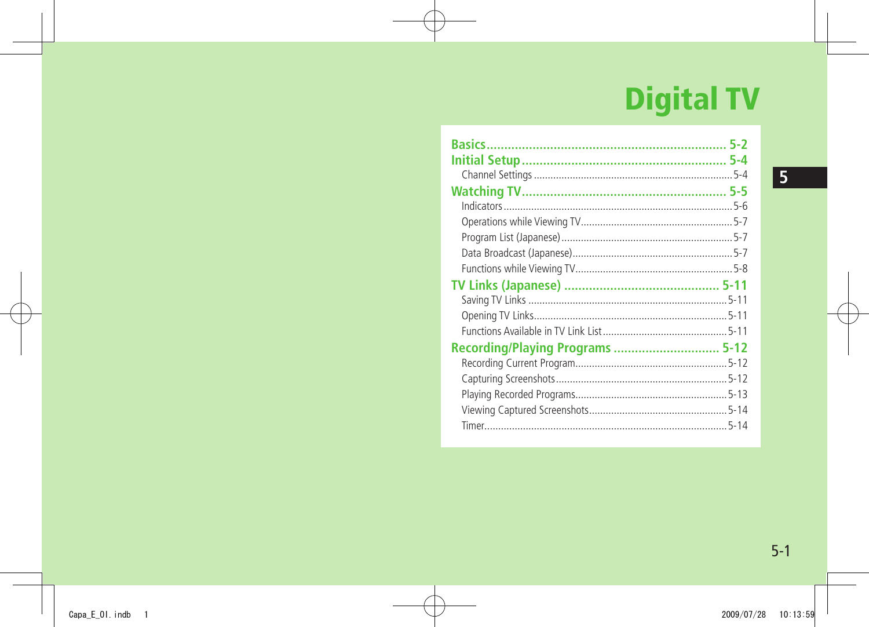# **Digital TV**

| <b>Recording/Playing Programs  5-12</b> |  |
|-----------------------------------------|--|
|                                         |  |
|                                         |  |
|                                         |  |
|                                         |  |
|                                         |  |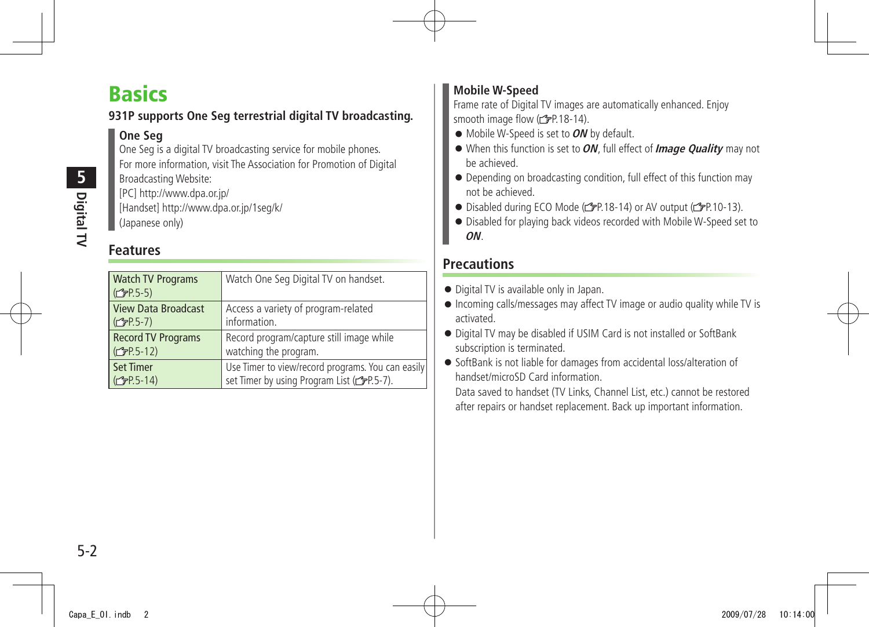## <span id="page-1-0"></span>**Basics**

### **931P supports One Seg terrestrial digital TV broadcasting.**

### **One Seg**

One Seg is a digital TV broadcasting service for mobile phones. For more information, visit The Association for Promotion of Digital Broadcasting Website: [PC] http://www.dpa.or.jp/

[Handset] http://www.dpa.or.jp/1seg/k/ (Japanese only)

### **Features**

| <b>Watch TV Programs</b><br>(C <sub>3</sub> P.5-5) | Watch One Seg Digital TV on handset.                          |
|----------------------------------------------------|---------------------------------------------------------------|
| <b>View Data Broadcast</b>                         | Access a variety of program-related                           |
| (C <sub>3</sub> P.5-7)                             | information.                                                  |
| <b>Record TV Programs</b>                          | Record program/capture still image while                      |
| (C <sub>T</sub> P.5-12)                            | watching the program.                                         |
| <b>Set Timer</b>                                   | Use Timer to view/record programs. You can easily             |
| (C <sub>T</sub> P.5-14)                            | set Timer by using Program List ( <a>(<a>&gt;SP.5-7)</a>.</a> |

### **Mobile W-Speed**

Frame rate of Digital TV images are automatically enhanced. Enjoy smooth image flow ( $\mathbb{Z}$ P.18-14).

- Mobile W-Speed is set to **ON** by default.
- When this function is set to **ON**, full effect of **Image Quality** may not be achieved.
- Depending on broadcasting condition, full effect of this function may not be achieved.
- Disabled during ECO Mode ( $p$ -P.18-14) or AV output ( $p$ -P.10-13).
- Disabled for playing back videos recorded with Mobile W-Speed set to **ON**.

### **Precautions**

- Digital TV is available only in Japan.
- Incoming calls/messages may affect TV image or audio quality while TV is activated.
- Digital TV may be disabled if USIM Card is not installed or SoftBank subscription is terminated.
- SoftBank is not liable for damages from accidental loss/alteration of handset/microSD Card information.

Data saved to handset (TV Links, Channel List, etc.) cannot be restored after repairs or handset replacement. Back up important information.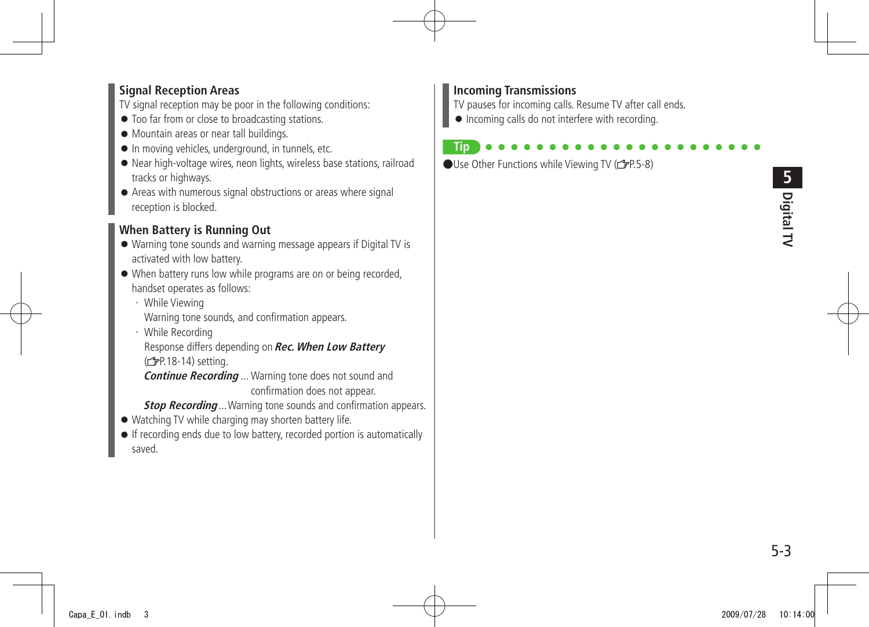#### **Signal Reception Areas**

TV signal reception may be poor in the following conditions:

- Too far from or close to broadcasting stations.
- Mountain areas or near tall buildings.
- In moving vehicles, underground, in tunnels, etc.
- Near high-voltage wires, neon lights, wireless base stations, railroad tracks or highways.
- Areas with numerous signal obstructions or areas where signal reception is blocked.

### **When Battery is Running Out**

- Warning tone sounds and warning message appears if Digital TV is activated with low battery.
- When battery runs low while programs are on or being recorded, handset operates as follows:
	- ・ While Viewing Warning tone sounds, and confirmation appears.
	- ・ While Recording

Response differs depending on **Rec. When Low Battery** (<del>f</del>P.18-14) setting.

**Continue Recording** ... Warning tone does not sound and confirmation does not appear.

**Stop Recording** ... Warning tone sounds and confirmation appears.

- Watching TV while charging may shorten battery life.
- If recording ends due to low battery, recorded portion is automatically saved.

#### **Incoming Transmissions**

TV pauses for incoming calls. Resume TV after call ends.

● Incoming calls do not interfere with recording.

#### **Tip**  $\bigcirc$ Use Other Functions while Viewing TV ( $\bigcirc$ P.5-8)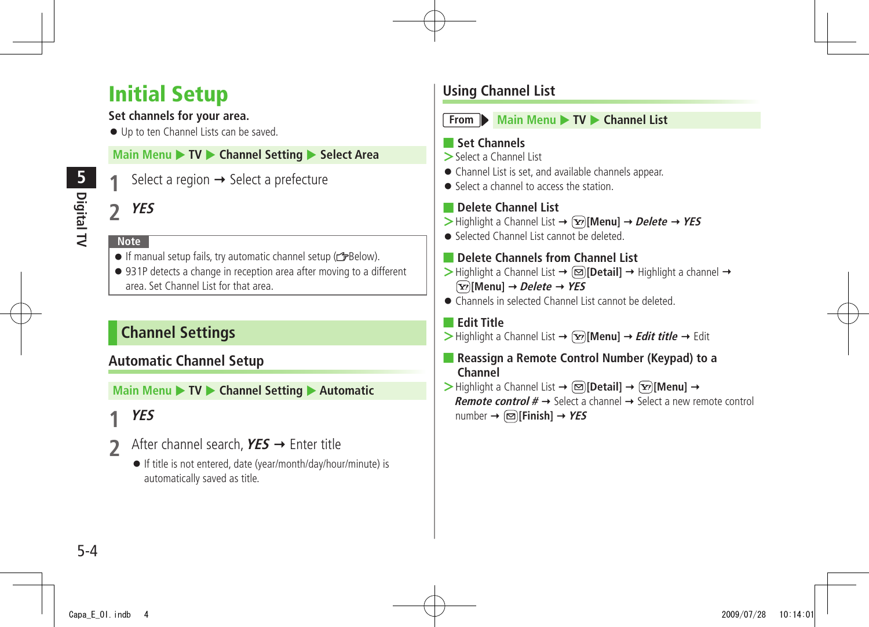## <span id="page-3-0"></span>**Initial Setup**

#### **Set channels for your area.**

● Up to ten Channel Lists can be saved.

#### **Main Menu > TV > Channel Setting > Select Area**

Select a region  $\rightarrow$  Select a prefecture

### **2 YES**

#### **Note**

- $\bullet$  If manual setup fails, try automatic channel setup ( $\leq$ Below).
- 931P detects a change in reception area after moving to a different area. Set Channel List for that area.

### **Channel Settings**

### **Automatic Channel Setup**

**Main Menu ▶ TV ▶ Channel Setting ▶ Automatic** 

### **1 YES**

- **2** After channel search, **YES** Enter title
	- If title is not entered, date (year/month/day/hour/minute) is automatically saved as title.

### **Using Channel List**



**From Main Menu** TV **Channel List** 

#### ■ **Set Channels**

- **>**Select a Channel List
- Channel List is set, and available channels appear.
- Select a channel to access the station

### ■ **Delete Channel List**

- $\triangleright$  Highlight a Channel List  $\rightarrow \widehat{X}$  [Menu]  $\rightarrow$  *Delete*  $\rightarrow$  *YES*
- Selected Channel List cannot be deleted.
- **Delete Channels from Channel List**
- $\triangleright$  Highlight a Channel List  $\rightarrow \boxdot$  [Detail]  $\rightarrow$  Highlight a channel  $\rightarrow$ **[Menu] Delete YES**
- Channels in selected Channel List cannot be deleted.

### ■ **Edit Title**

- $>$  Highlight a Channel List  $\rightarrow \infty$  [Menu]  $\rightarrow$  *Edit title*  $\rightarrow$  Edit
- **Reassign a Remote Control Number (Keypad) to a Channel**
- $\triangleright$  Highlight a Channel List  $\rightarrow \lbrack \mathfrak{D} \rbrack$  **[Detail]**  $\rightarrow \lbrack \mathfrak{D} \rbrack$  **[Menu]**  $\rightarrow$ **Remote control**  $# \rightarrow$  Select a channel  $\rightarrow$  Select a new remote control  $number \rightarrow \text{[}\infty\text{[}$ **Finish** $]\rightarrow \text{YES}$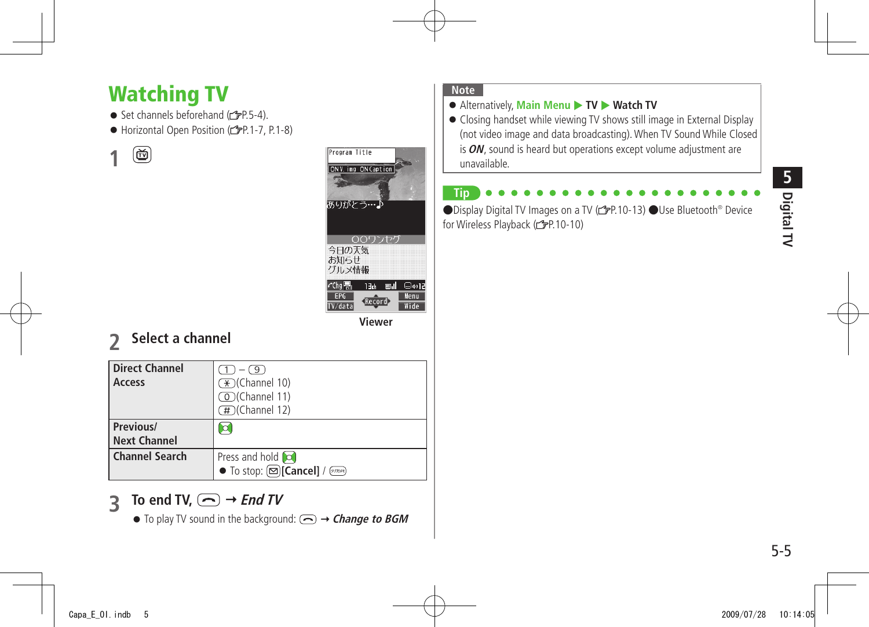## <span id="page-4-0"></span>**Watching TV**

- $\bullet$  Set channels beforehand ( $\bullet$  P.5-4).
- Horizontal Open Position (rep.1-7, P.1-8)

画 **1**



**Viewer**

### **2 Select a channel**

| <b>Direct Channel</b><br>Access  | $-\bigcup_{i=1}^n$<br>$\mathcal{F}$ (Channel 10)<br>◯ (Channel 11)<br>(#)(Channel 12) |
|----------------------------------|---------------------------------------------------------------------------------------|
| Previous/<br><b>Next Channel</b> |                                                                                       |
| <b>Channel Search</b>            | Press and hold co                                                                     |

### **3 To end TV,**  $\bigodot$  $\rightarrow$ *End TV*

 $\bullet$  To play TV sound in the background:  $\textcircled{}\rightarrow$  **Change to BGM** 

#### **Note**

#### ● Alternatively, Main Menu ▶ TV ▶ Watch TV

● Closing handset while viewing TV shows still image in External Display (not video image and data broadcasting). When TV Sound While Closed is **ON**, sound is heard but operations except volume adjustment are unavailable.

### **Tip**

●Display Digital TV Images on a TV (rep. 10-13) ●Use Bluetooth<sup>®</sup> Device for Wireless Playback (FP.10-10)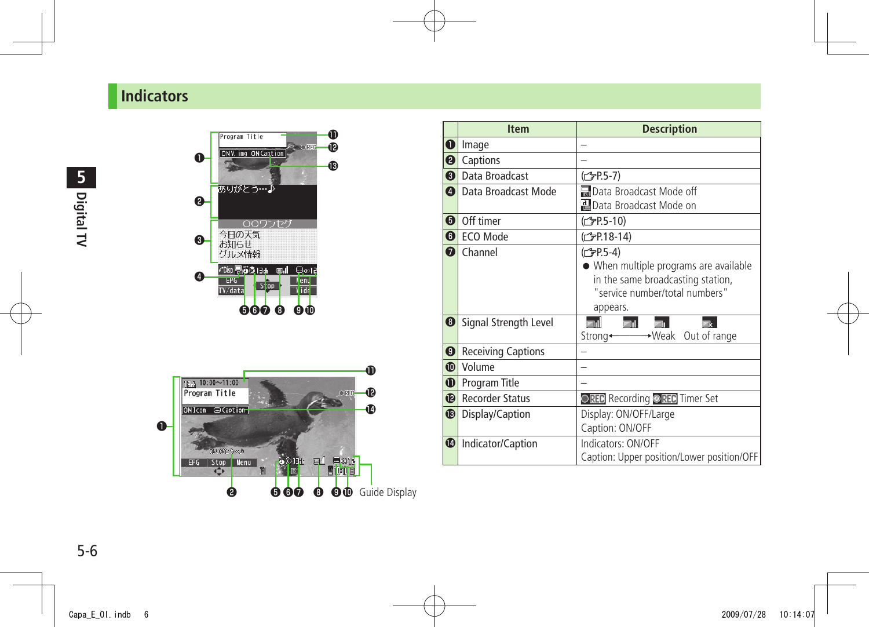### <span id="page-5-0"></span>**Indicators**



|                  | <b>Item</b>               | <b>Description</b>                                 |
|------------------|---------------------------|----------------------------------------------------|
| O                | Image                     |                                                    |
| ❷                | Captions                  |                                                    |
| ❸                | Data Broadcast            | (仁) P.5-7)                                         |
| ❹                | Data Broadcast Mode       | Node off Research Mode off                         |
|                  |                           | 월 Data Broadcast Mode on                           |
| ❺                | Off timer                 | ( <del>f</del> P.5-10)                             |
| $\boldsymbol{0}$ | ECO Mode                  | ( <del>C</del> ) P.18-14)                          |
| $\mathbf 0$      | Channel                   | (子P.5-4)<br>• When multiple programs are available |
|                  |                           | in the same broadcasting station,                  |
|                  |                           | "service number/total numbers"                     |
|                  |                           | appears.                                           |
| $\boldsymbol{0}$ | Signal Strength Level     | mıll<br><b>Edit</b><br>國                           |
|                  |                           | Strong← → Weak Out of range                        |
| ❸                | <b>Receiving Captions</b> |                                                    |
| ❶                | Volume                    |                                                    |
| ❶                | Program Title             |                                                    |
| ⊕                | <b>Recorder Status</b>    | ○REC Recording ●REC Timer Set                      |
| ®                | Display/Caption           | Display: ON/OFF/Large                              |
|                  |                           | Caption: ON/OFF                                    |
| ❶                | Indicator/Caption         | Indicators: ON/OFF                                 |
|                  |                           | Caption: Upper position/Lower position/OFF         |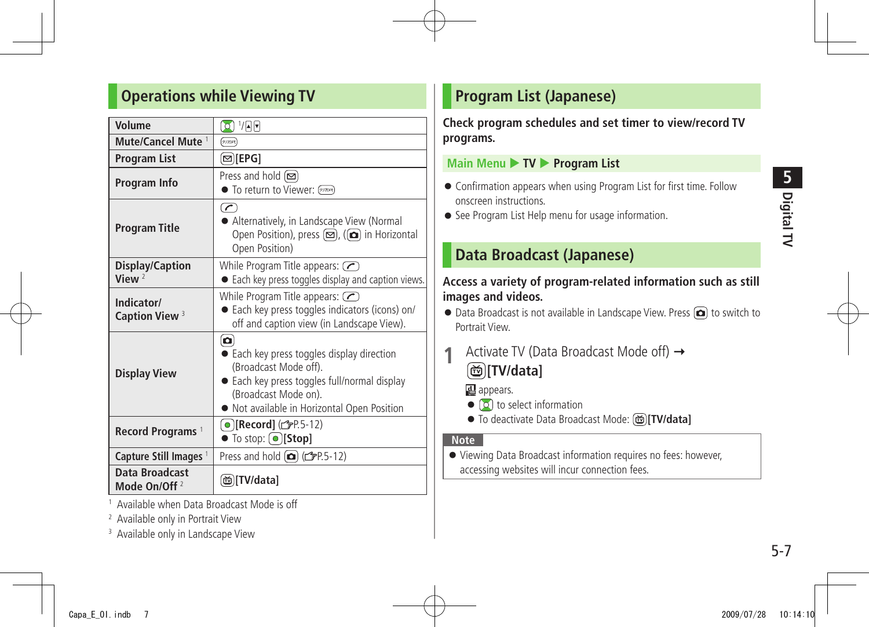### <span id="page-6-0"></span>**Operations while Viewing TV**

| Volume                                     | 0 1/AF                                                                                                                                                                                      |  |
|--------------------------------------------|---------------------------------------------------------------------------------------------------------------------------------------------------------------------------------------------|--|
| Mute/Cancel Mute <sup>1</sup>              | (クリカメモ)                                                                                                                                                                                     |  |
| <b>Program List</b>                        | $\infty$ [EPG]                                                                                                                                                                              |  |
| Program Info                               | Press and hold [□<br>• To return to Viewer: (20204)                                                                                                                                         |  |
| <b>Program Title</b>                       | $\left( \frac{1}{\epsilon}\right)$<br>Alternatively, in Landscape View (Normal<br>Open Position), press ( <b>□</b> ), (( <b>□</b> ) in Horizontal<br>Open Position)                         |  |
| <b>Display/Caption</b><br>View $2$         | While Program Title appears: $\oslash$<br>• Each key press toggles display and caption views.                                                                                               |  |
| Indicator/<br>Caption View <sup>3</sup>    | While Program Title appears: $\bigcirc$<br>Each key press toggles indicators (icons) on/<br>off and caption view (in Landscape View).                                                       |  |
| <b>Display View</b>                        | o<br>Each key press toggles display direction<br>(Broadcast Mode off).<br>Each key press toggles full/normal display<br>(Broadcast Mode on).<br>• Not available in Horizontal Open Position |  |
| Record Programs <sup>1</sup>               | ( ● ) <b>[Record]</b> ( <del>○ 2 ]</del> [9]<br>$\bullet$ To stop: $\circ$ [Stop]                                                                                                           |  |
| Capture Still Images <sup>1</sup>          | Press and hold $\textcircled{r}$ ( $\textcircled{r}$ P.5-12)                                                                                                                                |  |
| Data Broadcast<br>Mode On/Off <sup>2</sup> | [TV/data]                                                                                                                                                                                   |  |

1 Available when Data Broadcast Mode is off

2 Available only in Portrait View

<sup>3</sup> Available only in Landscape View

### **Program List (Japanese)**

**Check program schedules and set timer to view/record TV programs.**

#### **Main Menu ▶ TV ▶ Program List**

- Confirmation appears when using Program List for first time. Follow onscreen instructions.
- See Program List Help menu for usage information.

### **Data Broadcast (Japanese)**

#### **Access a variety of program-related information such as still images and videos.**

- Data Broadcast is not available in Landscape View. Press (□ to switch to Portrait View.
- **1** Activate TV (Data Broadcast Mode off) **[TV/data]**

al appears.

- $\bullet$   $\circ$  to select information
- To deactivate Data Broadcast Mode: **[TV/data]**

#### **Note**

● Viewing Data Broadcast information requires no fees: however, accessing websites will incur connection fees.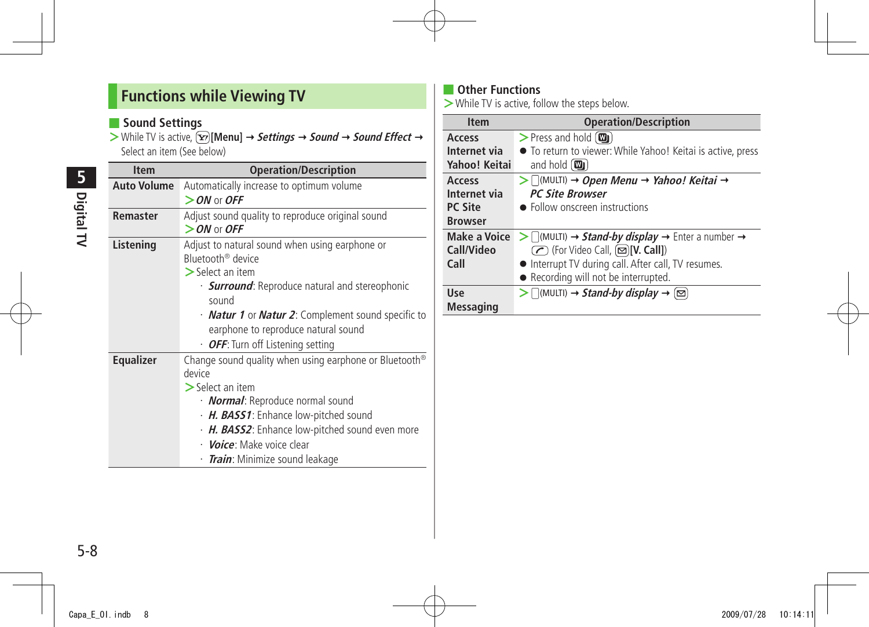### <span id="page-7-0"></span>**Functions while Viewing TV**

### ■ **Sound Settings**

 $>$  While TV is active,  $\boxed{\mathbf{\Sigma}}$  [Menu]  $\rightarrow$  **Settings**  $\rightarrow$  **Sound**  $\rightarrow$  **Sound Effect**  $\rightarrow$ Select an item (See below)

| <b>Item</b>        | <b>Operation/Description</b>                                                                                                                                                                                                                                                                                                 |
|--------------------|------------------------------------------------------------------------------------------------------------------------------------------------------------------------------------------------------------------------------------------------------------------------------------------------------------------------------|
| <b>Auto Volume</b> | Automatically increase to optimum volume                                                                                                                                                                                                                                                                                     |
|                    | $>$ ON or OFF                                                                                                                                                                                                                                                                                                                |
| Remaster           | Adjust sound quality to reproduce original sound<br>$>$ ON or OFF                                                                                                                                                                                                                                                            |
| Listening          | Adjust to natural sound when using earphone or<br>Bluetooth <sup>®</sup> device<br>$\geq$ Select an item<br>· <b>Surround</b> : Reproduce natural and stereophonic<br>sound<br>• <b>Natur 1</b> or <b>Natur 2</b> : Complement sound specific to                                                                             |
|                    | earphone to reproduce natural sound<br>· OFF: Turn off Listening setting                                                                                                                                                                                                                                                     |
| <b>Equalizer</b>   | Change sound quality when using earphone or Bluetooth <sup>®</sup><br>device<br>$\geq$ Select an item<br>· <b>Normal</b> : Reproduce normal sound<br>· H. BASS1: Enhance low-pitched sound<br>· H. BASS2: Enhance low-pitched sound even more<br>· <i>Voice:</i> Make voice clear<br>· <i>Train</i> : Minimize sound leakage |

### ■ **Other Functions**

**>**While TV is active, follow the steps below.

| <b>Item</b>         | <b>Operation/Description</b>                                                                                        |  |  |
|---------------------|---------------------------------------------------------------------------------------------------------------------|--|--|
| Access              | $>$ Press and hold $(\mathbf{w}_j)$                                                                                 |  |  |
| Internet via        | • To return to viewer: While Yahoo! Keitai is active, press                                                         |  |  |
| Yahoo! Keitai       | and hold $(\mathbf{w}_i)$                                                                                           |  |  |
| Access              | $\triangleright$ $\bigcap_{M}$ (MULTI) $\rightarrow$ Open Menu $\rightarrow$ Yahoo! Keitai $\rightarrow$            |  |  |
| Internet via        | <b>PC Site Browser</b>                                                                                              |  |  |
| <b>PC Site</b>      | • Follow onscreen instructions                                                                                      |  |  |
| <b>Browser</b>      |                                                                                                                     |  |  |
| <b>Make a Voice</b> | $\triangleright$ $\bigcap$ (MULTI) $\rightarrow$ <b>Stand-by display</b> $\rightarrow$ Enter a number $\rightarrow$ |  |  |
| Call/Video          | ◯ (For Video Call, (◘)[V. Call])                                                                                    |  |  |
| Call                | • Interrupt TV during call. After call, TV resumes.                                                                 |  |  |
|                     | • Recording will not be interrupted.                                                                                |  |  |
| Use                 | $\triangleright$ $\lceil$ (MULTI) $\rightarrow$ Stand-by display $\rightarrow$ $\lceil \simeq \rceil$               |  |  |
| <b>Messaging</b>    |                                                                                                                     |  |  |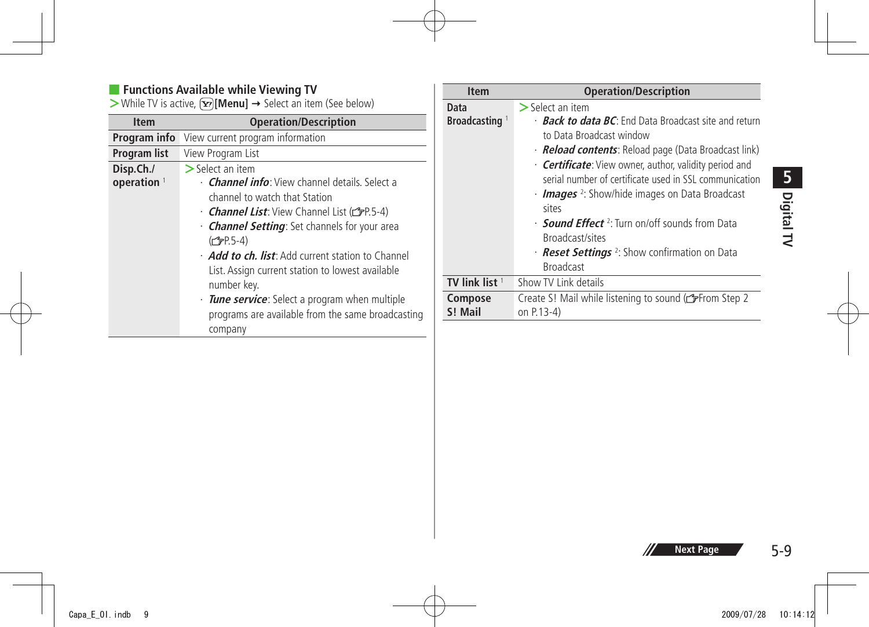#### ■ **Functions Available while Viewing TV**

**>**While TV is active,  $\boxed{\mathbf{x}}$  [Menu] → Select an item (See below)

| <b>Item</b>                         | <b>Operation/Description</b>                                                                                                                                                                                                                                                                                                                                                                                                                                                                |
|-------------------------------------|---------------------------------------------------------------------------------------------------------------------------------------------------------------------------------------------------------------------------------------------------------------------------------------------------------------------------------------------------------------------------------------------------------------------------------------------------------------------------------------------|
| Program info                        | View current program information                                                                                                                                                                                                                                                                                                                                                                                                                                                            |
| Program list                        | View Program List                                                                                                                                                                                                                                                                                                                                                                                                                                                                           |
| Disp.Ch./<br>operation <sup>1</sup> | $>$ Select an item<br>• <b>Channel info</b> : View channel details. Select a<br>channel to watch that Station<br><b>Channel List:</b> View Channel List (CFP.5-4)<br>• <b>Channel Setting</b> : Set channels for your area<br>$(\mathcal{C}$ P.5-4)<br>Add to ch. list: Add current station to Channel<br>List. Assign current station to lowest available<br>number key.<br>· Tune service: Select a program when multiple<br>programs are available from the same broadcasting<br>company |

| Item                      | <b>Operation/Description</b>                                                                                                                                                                                                                                                                                                                                                                                                                                                                                                           |
|---------------------------|----------------------------------------------------------------------------------------------------------------------------------------------------------------------------------------------------------------------------------------------------------------------------------------------------------------------------------------------------------------------------------------------------------------------------------------------------------------------------------------------------------------------------------------|
| Data                      | $\geq$ Select an item                                                                                                                                                                                                                                                                                                                                                                                                                                                                                                                  |
| Broadcasting <sup>1</sup> | <b>Back to data BC:</b> End Data Broadcast site and return<br>to Data Broadcast window<br>· <b>Reload contents</b> : Reload page (Data Broadcast link)<br>• <b>Certificate:</b> View owner, author, validity period and<br>serial number of certificate used in SSL communication<br>Images <sup>2</sup> : Show/hide images on Data Broadcast<br>sites<br>• <b>Sound Effect</b> <sup>2</sup> : Turn on/off sounds from Data<br>Broadcast/sites<br>· <b>Reset Settings</b> <sup>2</sup> : Show confirmation on Data<br><b>Broadcast</b> |
| TV link list <sup>1</sup> | Show TV Link details                                                                                                                                                                                                                                                                                                                                                                                                                                                                                                                   |
| Compose                   | Create S! Mail while listening to sound (reate Step 2                                                                                                                                                                                                                                                                                                                                                                                                                                                                                  |
| S! Mail                   | on P.13-4)                                                                                                                                                                                                                                                                                                                                                                                                                                                                                                                             |

5-9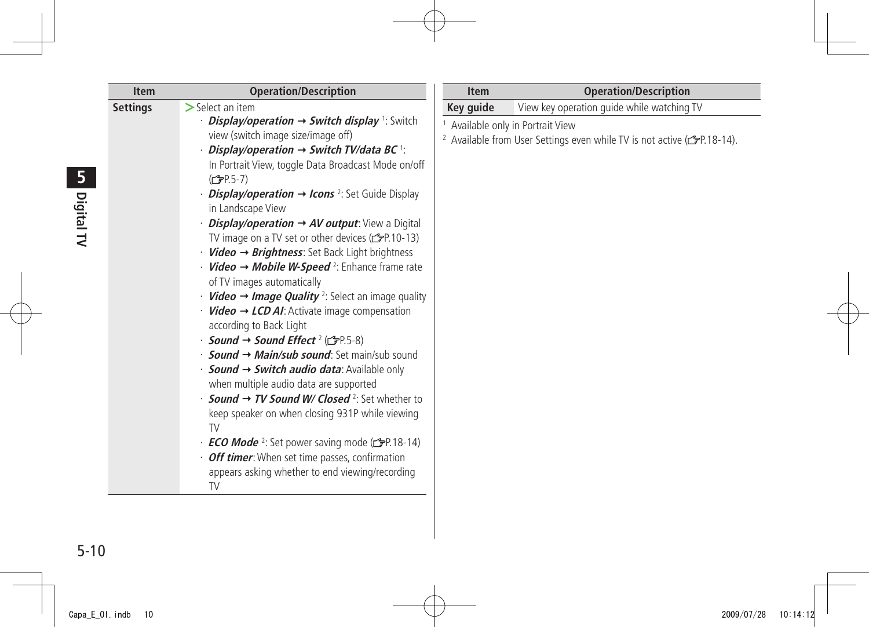| <b>Item</b>     | <b>Operation/Description</b>                                                                                                                                                                                                                                                                                                                                                                                                                                                                                                                                                                                                                                                                                                                                                                                                                                                                                                                                                                                                                                                                                                                                                                                                                                                                                                            | <b>Item</b> | <b>Operation/Description</b>                                                                                                                    |
|-----------------|-----------------------------------------------------------------------------------------------------------------------------------------------------------------------------------------------------------------------------------------------------------------------------------------------------------------------------------------------------------------------------------------------------------------------------------------------------------------------------------------------------------------------------------------------------------------------------------------------------------------------------------------------------------------------------------------------------------------------------------------------------------------------------------------------------------------------------------------------------------------------------------------------------------------------------------------------------------------------------------------------------------------------------------------------------------------------------------------------------------------------------------------------------------------------------------------------------------------------------------------------------------------------------------------------------------------------------------------|-------------|-------------------------------------------------------------------------------------------------------------------------------------------------|
|                 | $>$ Select an item                                                                                                                                                                                                                                                                                                                                                                                                                                                                                                                                                                                                                                                                                                                                                                                                                                                                                                                                                                                                                                                                                                                                                                                                                                                                                                                      | Key guide   | View key operation guide while watching TV                                                                                                      |
| <b>Settings</b> | <i>Display/operation <math>\rightarrow</math> Switch display</i> 1: Switch<br>view (switch image size/image off)<br>$\cdot$ Display/operation $\rightarrow$ Switch TV/data BC $^{\dagger}$ :<br>In Portrait View, toggle Data Broadcast Mode on/off<br>(C <sub>J</sub> P.5-7)<br><i>Display/operation <math>\rightarrow</math> Icons</i> <sup>2</sup> : Set Guide Display<br>in Landscape View<br>$\cdot$ <i>Display/operation <math>\rightarrow</math> AV output</i> : View a Digital<br>TV image on a TV set or other devices (rep. 10-13)<br>$Video \rightarrow Brightness$ : Set Back Light brightness<br>$\cdot$ <i>Video</i> $\rightarrow$ <i>Mobile W-Speed</i> <sup>2</sup> : Enhance frame rate<br>of TV images automatically<br>• <b>Video <math>\rightarrow</math> Image Quality</b> <sup>2</sup> : Select an image quality<br>$Video \rightarrow LCD$ AI: Activate image compensation<br>according to Back Light<br>$\cdot$ Sound → Sound Effect <sup>2</sup> ( $\blacktriangleright$ P.5-8)<br>• <b>Sound → Main/sub sound</b> : Set main/sub sound<br>$\cdot$ Sound $\rightarrow$ Switch audio data: Available only<br>when multiple audio data are supported<br>• <b>Sound <math>\rightarrow</math> TV Sound W/ Closed</b> <sup>2</sup> : Set whether to<br>keep speaker on when closing 931P while viewing<br><b>TV</b> |             | <sup>1</sup> Available only in Portrait View<br><sup>2</sup> Available from User Settings even while TV is not active ( $\mathcal{F}P.18-14$ ). |
|                 | $\cdot$ <b>ECO Mode</b> <sup>2</sup> : Set power saving mode ( $\leq$ P.18-14)<br>· Off timer: When set time passes, confirmation<br>appears asking whether to end viewing/recording<br><b>TV</b>                                                                                                                                                                                                                                                                                                                                                                                                                                                                                                                                                                                                                                                                                                                                                                                                                                                                                                                                                                                                                                                                                                                                       |             |                                                                                                                                                 |

Ė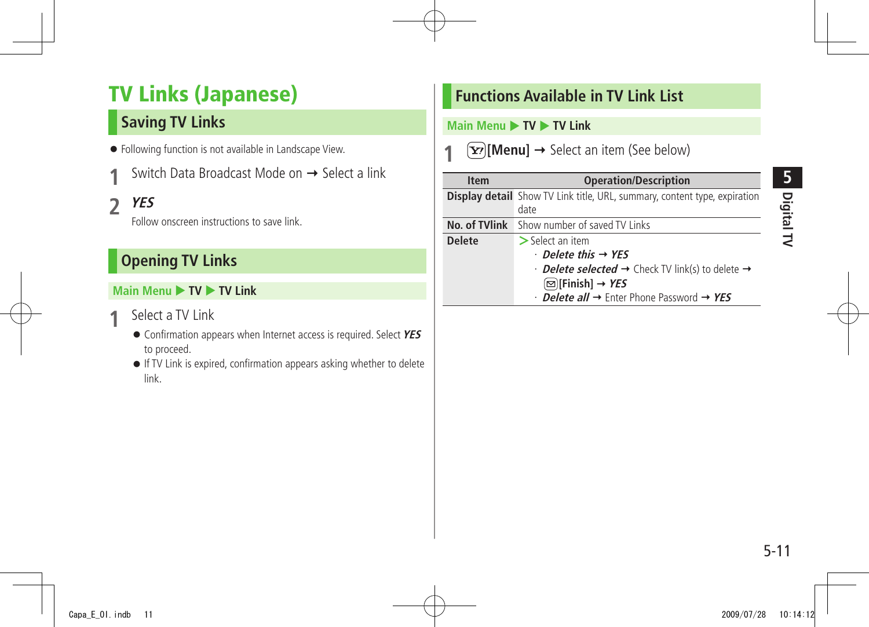## <span id="page-10-0"></span>**TV Links (Japanese)**

### **Saving TV Links**

- Following function is not available in Landscape View.
- Switch Data Broadcast Mode on → Select a link
- **2 YES**

Follow onscreen instructions to save link.

### **Opening TV Links**

### **Main Menu ▶ TV ▶ TV Link**

- **1** Select a TV Link
	- Confirmation appears when Internet access is required. Select **YES** to proceed.
	- If TV Link is expired, confirmation appears asking whether to delete link.

### **Functions Available in TV Link List**

#### **Main Menu ▶ TV ▶ TV Link**

 $\boxed{\mathbf{Y}}$  [Menu]  $\rightarrow$  Select an item (See below)

| <b>Item</b>   | <b>Operation/Description</b>                                                     |
|---------------|----------------------------------------------------------------------------------|
|               | <b>Display detail</b> Show TV Link title, URL, summary, content type, expiration |
|               | date                                                                             |
| No. of TVlink | Show number of saved TV Links                                                    |
| <b>Delete</b> | $>$ Select an item                                                               |
|               | $\cdot$ Delete this $\rightarrow$ YES                                            |
|               | • <b>Delete selected →</b> Check TV link(s) to delete →                          |
|               | ⊠ Finish] → YES                                                                  |
|               | $\cdot$ Delete all $\rightarrow$ Enter Phone Password $\rightarrow$ YES          |

5-11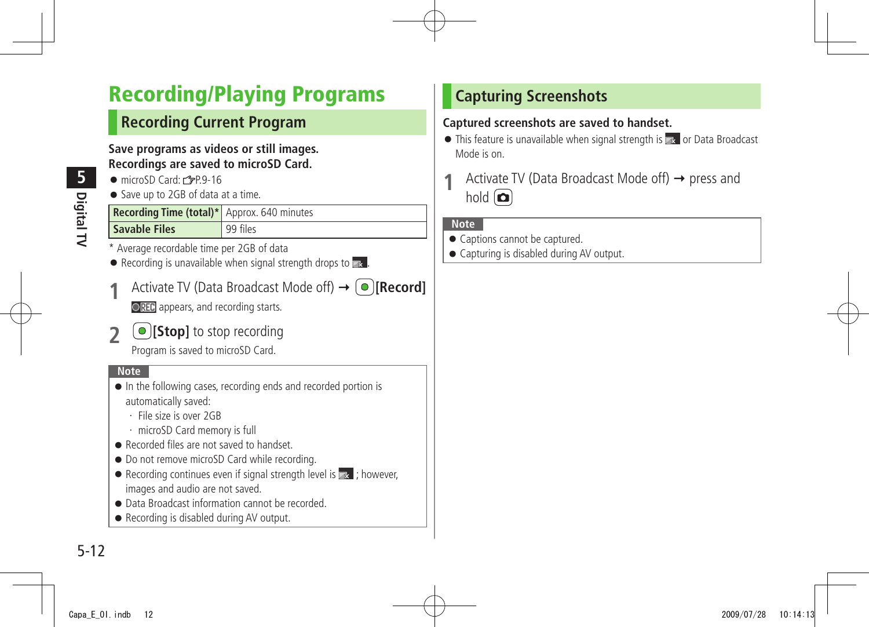## <span id="page-11-0"></span>**Recording/Playing Programs**

### **Recording Current Program**

**Save programs as videos or still images. Recordings are saved to microSD Card.**

- $\bullet$  microSD Card:  $r^2P.9-16$
- Save up to 2GB of data at a time.

| Recording Time (total)* Approx. 640 minutes |          |
|---------------------------------------------|----------|
| <b>Savable Files</b>                        | 99 files |

- Average recordable time per 2GB of data
- $\bullet$  Recording is unavailable when signal strength drops to  $\mathbb{R}$ .
- Activate TV (Data Broadcast Mode off)  $\rightarrow$  **[Record] OREC** appears, and recording starts.
- **2 [Stop]** to stop recording

Program is saved to microSD Card.

#### **Note**

- In the following cases, recording ends and recorded portion is automatically saved:
	- ・ File size is over 2GB
	- ・ microSD Card memory is full
- Recorded files are not saved to handset.
- Do not remove microSD Card while recording.
- $\bullet$  Recording continues even if signal strength level is  $\bullet$  ; however, images and audio are not saved.
- Data Broadcast information cannot be recorded.
- Recording is disabled during AV output.

### **Capturing Screenshots**

#### **Captured screenshots are saved to handset.**

- $\bullet$  This feature is unavailable when signal strength is  $\bullet$  or Data Broadcast Mode is on.
- Activate TV (Data Broadcast Mode off) → press and hold  $\left(\Box\right)$

#### **Note**

- Captions cannot be captured.
- Capturing is disabled during AV output.

**5**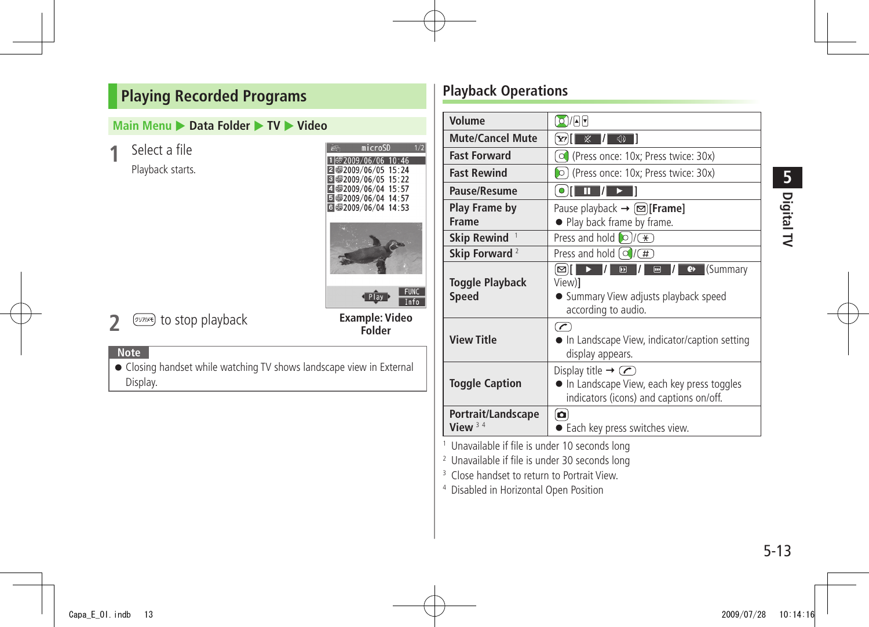### <span id="page-12-0"></span>**Playing Recorded Programs**

#### **Main Menu ▶ Data Folder ▶ TV ▶ Video**

**1** Select a file

Playback starts.

| microSD                                 |  |
|-----------------------------------------|--|
| 罗2009/06/06 10:46                       |  |
| 5:24 32009/06/05                        |  |
| 5:22 32009/06/05                        |  |
| 57∶57/92009/06/04<br> ●2009/06/04 14:57 |  |
| d 每2009/06/04 14:53                     |  |
|                                         |  |
|                                         |  |
| ay                                      |  |

**2 EXPIRITY** to stop playback

#### **Example: Video Folder**

#### **Note**

● Closing handset while watching TV shows landscape view in External Display.

### **Playback Operations**

| Volume                           | $\Omega$ /AF                                                                                                                                |  |
|----------------------------------|---------------------------------------------------------------------------------------------------------------------------------------------|--|
| <b>Mute/Cancel Mute</b>          | ※<br>$\sqrt{2}$<br>- 7<br>Y!                                                                                                                |  |
| <b>Fast Forward</b>              | (Press once: 10x; Press twice: 30x)<br>$\circ$                                                                                              |  |
| <b>Fast Rewind</b>               | O (Press once: 10x; Press twice: 30x)                                                                                                       |  |
| Pause/Resume                     | o II.<br>Ш                                                                                                                                  |  |
| Play Frame by                    | Pause playback $\rightarrow \lbrack \infty \rbrack$ [Frame]                                                                                 |  |
| <b>Frame</b>                     | • Play back frame by frame.                                                                                                                 |  |
| Skip Rewind <sup>1</sup>         | Press and hold $\bigcirc$ / $\circledast$                                                                                                   |  |
| Skip Forward <sup>2</sup>        | Press and hold $\left(\frac{1}{\sqrt{H}}\right)$                                                                                            |  |
| Toggle Playback<br><b>Speed</b>  | I/<br>$\boxed{2}$<br>Kummary<br>⊠⊺<br>$\blacksquare$<br>$\bullet$<br>View)]<br>• Summary View adjusts playback speed<br>according to audio. |  |
| <b>View Title</b>                | $\sqrt{2}$<br>In Landscape View, indicator/caption setting<br>display appears.                                                              |  |
| <b>Toggle Caption</b>            | Display title $\rightarrow \infty$<br>In Landscape View, each key press toggles<br>indicators (icons) and captions on/off.                  |  |
| Portrait/Landscape<br>View $3.4$ | o<br>• Each key press switches view.                                                                                                        |  |

1 Unavailable if file is under 10 seconds long

2 Unavailable if file is under 30 seconds long

<sup>3</sup> Close handset to return to Portrait View.

4 Disabled in Horizontal Open Position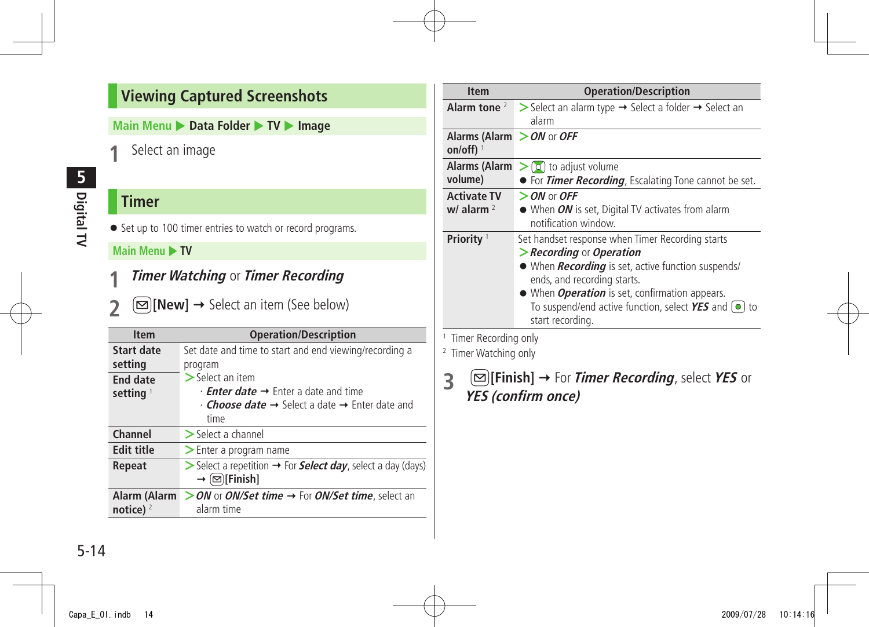### <span id="page-13-0"></span>**Viewing Captured Screenshots**

**Main Menu ▶ Data Folder ▶ TV ▶ Image** 

**1** Select an image

### **Timer**

**Digital TV**

**5**

● Set up to 100 timer entries to watch or record programs.

#### **Main Menu > TV**

- **1 Timer Watching** or **Timer Recording**
- **2 [New]** → Select an item (See below)

| <b>Item</b>                 | <b>Operation/Description</b>                                                                                                                                                           |
|-----------------------------|----------------------------------------------------------------------------------------------------------------------------------------------------------------------------------------|
| Start date<br>setting       | Set date and time to start and end viewing/recording a<br>program                                                                                                                      |
| <b>End date</b><br>setting  | $>$ Select an item<br>$\cdot$ <b>Enter date <math>\rightarrow</math></b> Enter a date and time<br>$\cdot$ Choose date $\rightarrow$ Select a date $\rightarrow$ Enter date and<br>time |
| Channel                     | $\triangleright$ Select a channel                                                                                                                                                      |
| <b>Edit title</b>           | $\geq$ Enter a program name                                                                                                                                                            |
| Repeat                      | $\triangleright$ Select a repetition $\rightarrow$ For <b>Select day</b> , select a day (days)<br>$\rightarrow \lbrack \infty \rbrack$ [Finish]                                        |
| Alarm (Alarm<br>notice) $2$ | > ON or ON/Set time → For ON/Set time, select an<br>alarm time                                                                                                                         |

| <b>Item</b>                            | <b>Operation/Description</b>                                                                                                                |  |
|----------------------------------------|---------------------------------------------------------------------------------------------------------------------------------------------|--|
| Alarm tone $2$                         | > Select an alarm type → Select a folder → Select an                                                                                        |  |
|                                        | alarm                                                                                                                                       |  |
| Alarms (Alarm $>$ ON or OFF<br>on/off) |                                                                                                                                             |  |
|                                        | <b>Alarms (Alarm <math>&gt; 0</math></b> to adjust volume                                                                                   |  |
| volume)                                | • For <i>Timer Recording</i> , Escalating Tone cannot be set.                                                                               |  |
| <b>Activate TV</b>                     | $>$ ON or OFF                                                                                                                               |  |
| $w/$ alarm $2$                         | • When ON is set, Digital TV activates from alarm<br>notification window.                                                                   |  |
| Priority <sup>1</sup>                  | Set handset response when Timer Recording starts                                                                                            |  |
|                                        | Recording or Operation                                                                                                                      |  |
|                                        | • When <i>Recording</i> is set, active function suspends/<br>ends, and recording starts.                                                    |  |
|                                        | • When <i>Operation</i> is set, confirmation appears.<br>To suspend/end active function, select $YES$ and $\circ$<br>to<br>start recording. |  |

1 Timer Recording only

2 Timer Watching only

**3 [Finish]** For **Timer Recording**, select **YES** or **YES (confirm once)**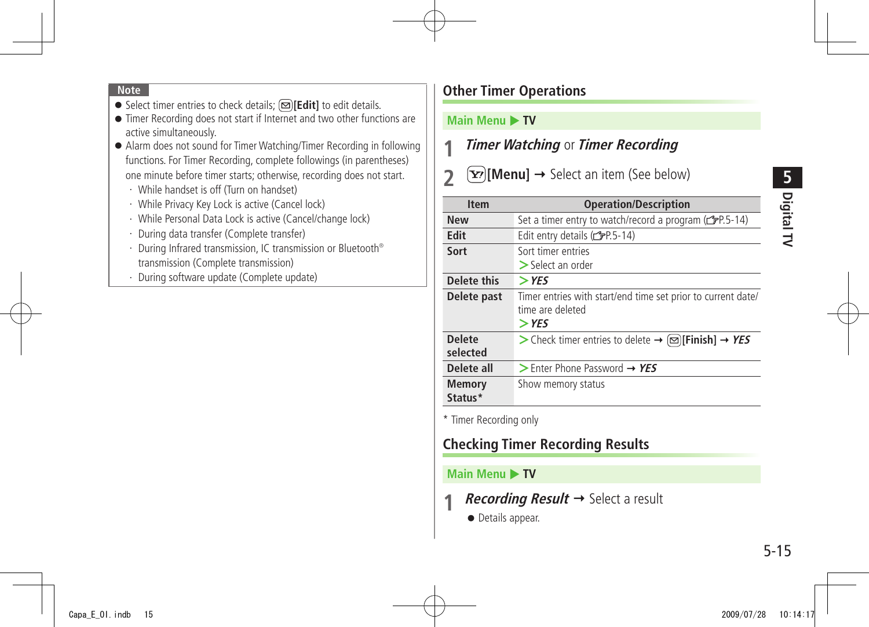#### **Note**

- Select timer entries to check details; **[Selit]** to edit details.
- Timer Recording does not start if Internet and two other functions are active simultaneously.
- Alarm does not sound for Timer Watching/Timer Recording in following functions. For Timer Recording, complete followings (in parentheses) one minute before timer starts; otherwise, recording does not start.
	- ・ While handset is off (Turn on handset)
	- ・ While Privacy Key Lock is active (Cancel lock)
	- ・ While Personal Data Lock is active (Cancel/change lock)
	- ・ During data transfer (Complete transfer)
	- ・ During Infrared transmission, IC transmission or Bluetooth® transmission (Complete transmission)
	- ・ During software update (Complete update)

### **Other Timer Operations**

#### **Main Menu > TV**

### **1 Timer Watching** or **Timer Recording**

### **2**  $\mathbf{F}$  **[Menu]**  $\rightarrow$  Select an item (See below)

| <b>Item</b>               | <b>Operation/Description</b>                                                                |
|---------------------------|---------------------------------------------------------------------------------------------|
| <b>New</b>                | Set a timer entry to watch/record a program (rep.5-14)                                      |
| Edit                      | Edit entry details (CPP.5-14)                                                               |
| Sort                      | Sort timer entries<br>$\geq$ Select an order                                                |
| Delete this               | $>$ YFS                                                                                     |
| Delete past               | Timer entries with start/end time set prior to current date/<br>time are deleted<br>$>$ YFS |
| <b>Delete</b><br>selected | > Check timer entries to delete $\rightarrow \infty$ [Finish] $\rightarrow$ YES             |
| Delete all                | $>$ Enter Phone Password $\rightarrow$ YES                                                  |
| <b>Memory</b><br>Status*  | Show memory status                                                                          |

\* Timer Recording only

### **Checking Timer Recording Results**

#### **Main Menu ▶ TV**

- *Recording Result*  $\rightarrow$  Select a result
	- Details appear.